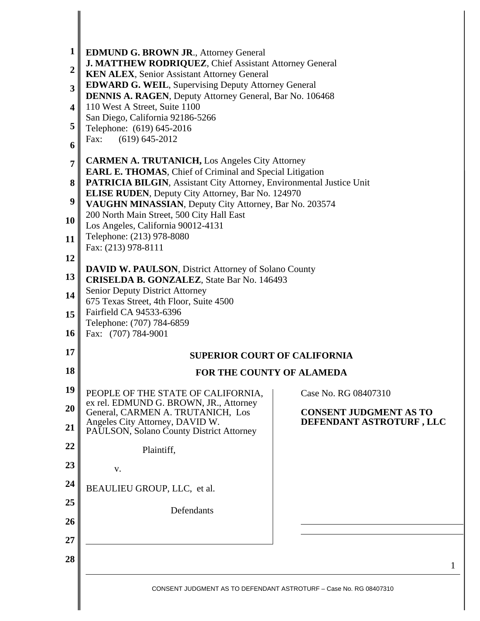| 1                       | <b>EDMUND G. BROWN JR., Attorney General</b>                                                                                                   |                               |  |  |  |
|-------------------------|------------------------------------------------------------------------------------------------------------------------------------------------|-------------------------------|--|--|--|
| $\overline{2}$          | J. MATTHEW RODRIQUEZ, Chief Assistant Attorney General                                                                                         |                               |  |  |  |
| 3                       | <b>KEN ALEX, Senior Assistant Attorney General</b><br><b>EDWARD G. WEIL, Supervising Deputy Attorney General</b>                               |                               |  |  |  |
| $\overline{\mathbf{4}}$ | <b>DENNIS A. RAGEN, Deputy Attorney General, Bar No. 106468</b><br>110 West A Street, Suite 1100                                               |                               |  |  |  |
| 5                       | San Diego, California 92186-5266<br>Telephone: (619) 645-2016                                                                                  |                               |  |  |  |
| 6                       | Fax:<br>$(619) 645 - 2012$                                                                                                                     |                               |  |  |  |
| 7                       | <b>CARMEN A. TRUTANICH, Los Angeles City Attorney</b>                                                                                          |                               |  |  |  |
| 8                       | <b>EARL E. THOMAS, Chief of Criminal and Special Litigation</b><br><b>PATRICIA BILGIN, Assistant City Attorney, Environmental Justice Unit</b> |                               |  |  |  |
| 9                       | <b>ELISE RUDEN</b> , Deputy City Attorney, Bar No. 124970<br>VAUGHN MINASSIAN, Deputy City Attorney, Bar No. 203574                            |                               |  |  |  |
| 10                      | 200 North Main Street, 500 City Hall East<br>Los Angeles, California 90012-4131                                                                |                               |  |  |  |
| 11                      | Telephone: (213) 978-8080                                                                                                                      |                               |  |  |  |
| 12                      | Fax: (213) 978-8111                                                                                                                            |                               |  |  |  |
| 13                      | <b>DAVID W. PAULSON, District Attorney of Solano County</b><br><b>CRISELDA B. GONZALEZ</b> , State Bar No. 146493                              |                               |  |  |  |
| 14                      | <b>Senior Deputy District Attorney</b>                                                                                                         |                               |  |  |  |
| 15                      | 675 Texas Street, 4th Floor, Suite 4500<br>Fairfield CA 94533-6396                                                                             |                               |  |  |  |
| <b>16</b>               | Telephone: (707) 784-6859<br>Fax: (707) 784-9001                                                                                               |                               |  |  |  |
| 17                      | <b>SUPERIOR COURT OF CALIFORNIA</b>                                                                                                            |                               |  |  |  |
| 18                      | FOR THE COUNTY OF ALAMEDA                                                                                                                      |                               |  |  |  |
| 19                      | PEOPLE OF THE STATE OF CALIFORNIA,                                                                                                             | Case No. RG 08407310          |  |  |  |
| 20                      | ex rel. EDMUND G. BROWN, JR., Attorney<br>General, CARMEN A. TRUTANICH, Los                                                                    | <b>CONSENT JUDGMENT AS TO</b> |  |  |  |
| 21                      | Angeles City Attorney, DAVID W.<br>PAULSON, Solano County District Attorney                                                                    | DEFENDANT ASTROTURF, LLC      |  |  |  |
| 22                      | Plaintiff,                                                                                                                                     |                               |  |  |  |
| 23                      | V.                                                                                                                                             |                               |  |  |  |
| 24                      | BEAULIEU GROUP, LLC, et al.                                                                                                                    |                               |  |  |  |
| 25                      | Defendants                                                                                                                                     |                               |  |  |  |
| 26                      |                                                                                                                                                |                               |  |  |  |
| 27                      |                                                                                                                                                |                               |  |  |  |
| 28                      |                                                                                                                                                | 1                             |  |  |  |
|                         | CONSENT JUDGMENT AS TO DEFENDANT ASTROTURF - Case No. RG 08407310                                                                              |                               |  |  |  |
|                         |                                                                                                                                                |                               |  |  |  |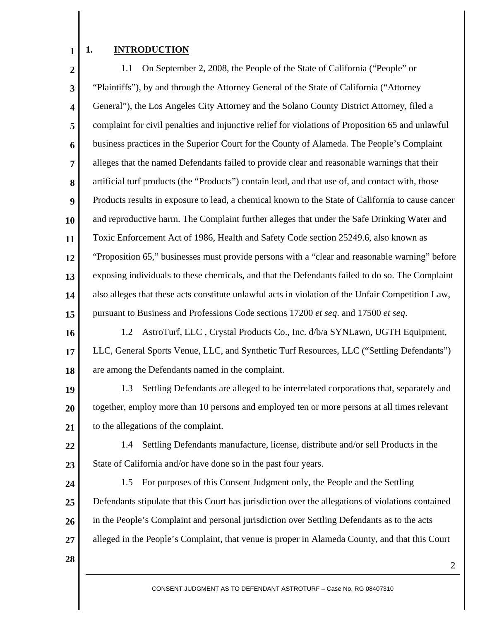#### **1. INTRODUCTION**

**1** 

**2 3 4 5 6 7 8 9 10 11 12 13 14 15**  1.1 On September 2, 2008, the People of the State of California ("People" or "Plaintiffs"), by and through the Attorney General of the State of California ("Attorney General"), the Los Angeles City Attorney and the Solano County District Attorney, filed a complaint for civil penalties and injunctive relief for violations of Proposition 65 and unlawful business practices in the Superior Court for the County of Alameda. The People's Complaint alleges that the named Defendants failed to provide clear and reasonable warnings that their artificial turf products (the "Products") contain lead, and that use of, and contact with, those Products results in exposure to lead, a chemical known to the State of California to cause cancer and reproductive harm. The Complaint further alleges that under the Safe Drinking Water and Toxic Enforcement Act of 1986, Health and Safety Code section 25249.6, also known as "Proposition 65," businesses must provide persons with a "clear and reasonable warning" before exposing individuals to these chemicals, and that the Defendants failed to do so. The Complaint also alleges that these acts constitute unlawful acts in violation of the Unfair Competition Law, pursuant to Business and Professions Code sections 17200 *et seq*. and 17500 *et seq*.

**16 17 18**  1.2 AstroTurf, LLC , Crystal Products Co., Inc. d/b/a SYNLawn, UGTH Equipment, LLC, General Sports Venue, LLC, and Synthetic Turf Resources, LLC ("Settling Defendants") are among the Defendants named in the complaint.

**19 20 21**  1.3 Settling Defendants are alleged to be interrelated corporations that, separately and together, employ more than 10 persons and employed ten or more persons at all times relevant to the allegations of the complaint.

**22** 

**23** 

1.4 Settling Defendants manufacture, license, distribute and/or sell Products in the State of California and/or have done so in the past four years.

**24 25 26 27**  1.5 For purposes of this Consent Judgment only, the People and the Settling Defendants stipulate that this Court has jurisdiction over the allegations of violations contained in the People's Complaint and personal jurisdiction over Settling Defendants as to the acts alleged in the People's Complaint, that venue is proper in Alameda County, and that this Court

**28**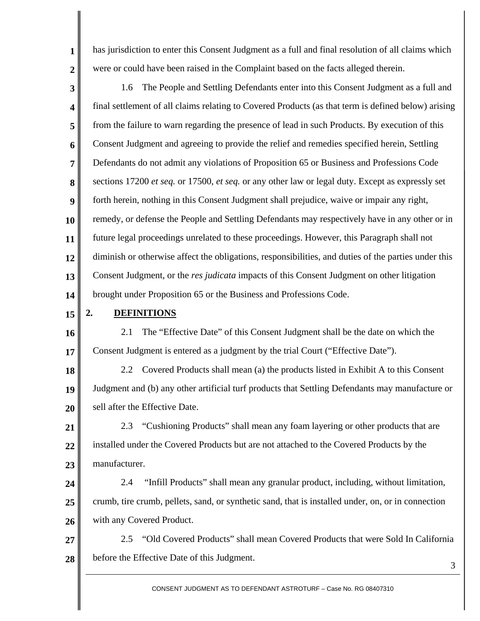has jurisdiction to enter this Consent Judgment as a full and final resolution of all claims which were or could have been raised in the Complaint based on the facts alleged therein.

**3 4 5 6 7 8 9 10 11 12 13 14**  1.6 The People and Settling Defendants enter into this Consent Judgment as a full and final settlement of all claims relating to Covered Products (as that term is defined below) arising from the failure to warn regarding the presence of lead in such Products. By execution of this Consent Judgment and agreeing to provide the relief and remedies specified herein, Settling Defendants do not admit any violations of Proposition 65 or Business and Professions Code sections 17200 *et seq.* or 17500, *et seq.* or any other law or legal duty. Except as expressly set forth herein, nothing in this Consent Judgment shall prejudice, waive or impair any right, remedy, or defense the People and Settling Defendants may respectively have in any other or in future legal proceedings unrelated to these proceedings. However, this Paragraph shall not diminish or otherwise affect the obligations, responsibilities, and duties of the parties under this Consent Judgment, or the *res judicata* impacts of this Consent Judgment on other litigation brought under Proposition 65 or the Business and Professions Code.

#### **15**

**1** 

**2** 

#### **2. DEFINITIONS**

**16 17**  2.1 The "Effective Date" of this Consent Judgment shall be the date on which the Consent Judgment is entered as a judgment by the trial Court ("Effective Date").

**18 19 20**  2.2 Covered Products shall mean (a) the products listed in Exhibit A to this Consent Judgment and (b) any other artificial turf products that Settling Defendants may manufacture or sell after the Effective Date.

**21 22 23**  2.3 "Cushioning Products" shall mean any foam layering or other products that are installed under the Covered Products but are not attached to the Covered Products by the manufacturer.

**24 25 26**  2.4 "Infill Products" shall mean any granular product, including, without limitation, crumb, tire crumb, pellets, sand, or synthetic sand, that is installed under, on, or in connection with any Covered Product.

**27 28**  2.5 "Old Covered Products" shall mean Covered Products that were Sold In California before the Effective Date of this Judgment.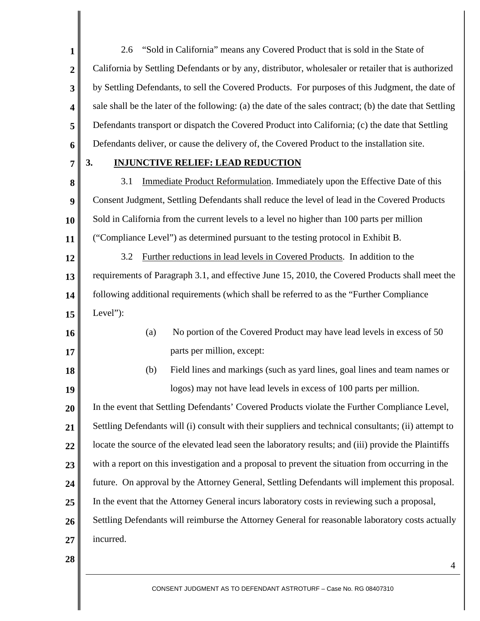**1 2 3 4 5 6**  2.6 "Sold in California" means any Covered Product that is sold in the State of California by Settling Defendants or by any, distributor, wholesaler or retailer that is authorized by Settling Defendants, to sell the Covered Products. For purposes of this Judgment, the date of sale shall be the later of the following: (a) the date of the sales contract; (b) the date that Settling Defendants transport or dispatch the Covered Product into California; (c) the date that Settling Defendants deliver, or cause the delivery of, the Covered Product to the installation site.

**7** 

**16** 

**17** 

**18** 

**19** 

#### **3. INJUNCTIVE RELIEF: LEAD REDUCTION**

**8 9 10 11**  3.1 Immediate Product Reformulation. Immediately upon the Effective Date of this Consent Judgment, Settling Defendants shall reduce the level of lead in the Covered Products Sold in California from the current levels to a level no higher than 100 parts per million ("Compliance Level") as determined pursuant to the testing protocol in Exhibit B.

**12 13 14 15**  3.2 Further reductions in lead levels in Covered Products. In addition to the requirements of Paragraph 3.1, and effective June 15, 2010, the Covered Products shall meet the following additional requirements (which shall be referred to as the "Further Compliance Level"):

> (a) No portion of the Covered Product may have lead levels in excess of 50 parts per million, except:

# (b) Field lines and markings (such as yard lines, goal lines and team names or logos) may not have lead levels in excess of 100 parts per million.

**20 21 22 23 24 25 26 27**  In the event that Settling Defendants' Covered Products violate the Further Compliance Level, Settling Defendants will (i) consult with their suppliers and technical consultants; (ii) attempt to locate the source of the elevated lead seen the laboratory results; and (iii) provide the Plaintiffs with a report on this investigation and a proposal to prevent the situation from occurring in the future. On approval by the Attorney General, Settling Defendants will implement this proposal. In the event that the Attorney General incurs laboratory costs in reviewing such a proposal, Settling Defendants will reimburse the Attorney General for reasonable laboratory costs actually incurred.

**28**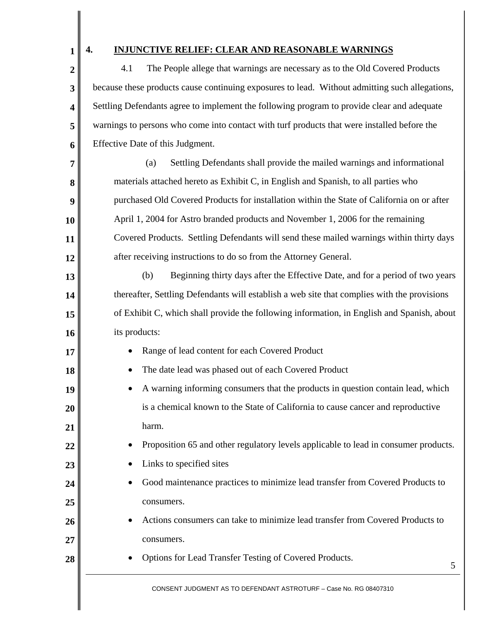**1** 

**2** 

**3** 

**4** 

**5** 

**6** 

### **4. INJUNCTIVE RELIEF: CLEAR AND REASONABLE WARNINGS**

4.1 The People allege that warnings are necessary as to the Old Covered Products because these products cause continuing exposures to lead. Without admitting such allegations, Settling Defendants agree to implement the following program to provide clear and adequate warnings to persons who come into contact with turf products that were installed before the Effective Date of this Judgment.

5 **7 8 9 10 11 12 13 14 15 16 17 18 19 20 21 22 23 24 25 26 27 28**  (a) Settling Defendants shall provide the mailed warnings and informational materials attached hereto as Exhibit C, in English and Spanish, to all parties who purchased Old Covered Products for installation within the State of California on or after April 1, 2004 for Astro branded products and November 1, 2006 for the remaining Covered Products. Settling Defendants will send these mailed warnings within thirty days after receiving instructions to do so from the Attorney General. (b) Beginning thirty days after the Effective Date, and for a period of two years thereafter, Settling Defendants will establish a web site that complies with the provisions of Exhibit C, which shall provide the following information, in English and Spanish, about its products: Range of lead content for each Covered Product The date lead was phased out of each Covered Product • A warning informing consumers that the products in question contain lead, which is a chemical known to the State of California to cause cancer and reproductive harm. • Proposition 65 and other regulatory levels applicable to lead in consumer products. Links to specified sites • Good maintenance practices to minimize lead transfer from Covered Products to consumers. • Actions consumers can take to minimize lead transfer from Covered Products to consumers. • Options for Lead Transfer Testing of Covered Products.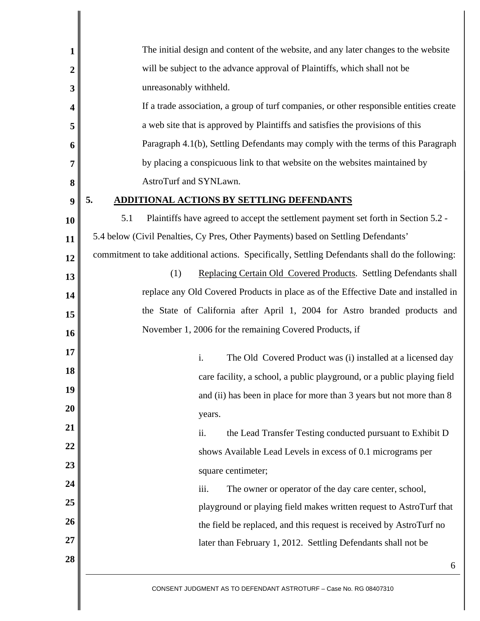| 1                       | The initial design and content of the website, and any later changes to the website              |  |  |  |
|-------------------------|--------------------------------------------------------------------------------------------------|--|--|--|
| 2                       | will be subject to the advance approval of Plaintiffs, which shall not be                        |  |  |  |
| 3                       | unreasonably withheld.                                                                           |  |  |  |
| $\overline{\mathbf{4}}$ | If a trade association, a group of turf companies, or other responsible entities create          |  |  |  |
| 5                       | a web site that is approved by Plaintiffs and satisfies the provisions of this                   |  |  |  |
| 6                       | Paragraph 4.1(b), Settling Defendants may comply with the terms of this Paragraph                |  |  |  |
| 7                       | by placing a conspicuous link to that website on the websites maintained by                      |  |  |  |
| 8                       | AstroTurf and SYNLawn.                                                                           |  |  |  |
| 9                       | 5.<br><b>ADDITIONAL ACTIONS BY SETTLING DEFENDANTS</b>                                           |  |  |  |
| 10                      | Plaintiffs have agreed to accept the settlement payment set forth in Section 5.2 -<br>5.1        |  |  |  |
| 11                      | 5.4 below (Civil Penalties, Cy Pres, Other Payments) based on Settling Defendants'               |  |  |  |
| 12                      | commitment to take additional actions. Specifically, Settling Defendants shall do the following: |  |  |  |
| 13                      | (1)<br>Replacing Certain Old Covered Products. Settling Defendants shall                         |  |  |  |
| 14                      | replace any Old Covered Products in place as of the Effective Date and installed in              |  |  |  |
| 15                      | the State of California after April 1, 2004 for Astro branded products and                       |  |  |  |
| 16                      | November 1, 2006 for the remaining Covered Products, if                                          |  |  |  |
| 17                      | i.<br>The Old Covered Product was (i) installed at a licensed day                                |  |  |  |
| 18                      | care facility, a school, a public playground, or a public playing field                          |  |  |  |
| 19                      | and (ii) has been in place for more than 3 years but not more than 8                             |  |  |  |
| 20                      | years.                                                                                           |  |  |  |
| 21                      | ii.<br>the Lead Transfer Testing conducted pursuant to Exhibit D                                 |  |  |  |
| 22                      | shows Available Lead Levels in excess of 0.1 micrograms per                                      |  |  |  |
| 23                      | square centimeter;                                                                               |  |  |  |
| 24                      | iii.<br>The owner or operator of the day care center, school,                                    |  |  |  |
| 25                      | playground or playing field makes written request to AstroTurf that                              |  |  |  |
| 26                      | the field be replaced, and this request is received by AstroTurf no                              |  |  |  |
| 27                      | later than February 1, 2012. Settling Defendants shall not be                                    |  |  |  |
| 28                      | 6                                                                                                |  |  |  |
|                         | CONSENT JUDGMENT AS TO DEFENDANT ASTROTURF - Case No. RG 08407310                                |  |  |  |

 $\parallel$ 

∥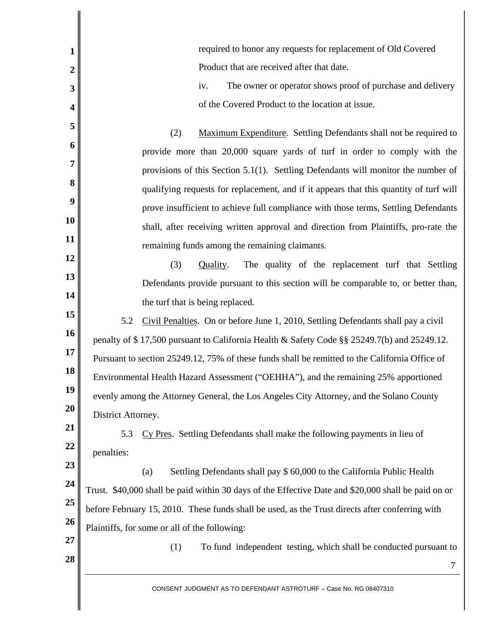| $\mathbf{1}$   | required to honor any requests for replacement of Old Covered                                       |  |
|----------------|-----------------------------------------------------------------------------------------------------|--|
| $\overline{2}$ | Product that are received after that date.                                                          |  |
| 3              | The owner or operator shows proof of purchase and delivery<br>iv.                                   |  |
| 4              | of the Covered Product to the location at issue.                                                    |  |
| 5              | Maximum Expenditure. Settling Defendants shall not be required to<br>(2)                            |  |
| 6              | provide more than 20,000 square yards of turf in order to comply with the                           |  |
| 7              | provisions of this Section 5.1(1). Settling Defendants will monitor the number of                   |  |
| 8              | qualifying requests for replacement, and if it appears that this quantity of turf will              |  |
| 9              | prove insufficient to achieve full compliance with those terms, Settling Defendants                 |  |
| 10             | shall, after receiving written approval and direction from Plaintiffs, pro-rate the                 |  |
| 11             | remaining funds among the remaining claimants.                                                      |  |
| 12             | The quality of the replacement turf that Settling<br>(3)<br>Quality.                                |  |
| 13             | Defendants provide pursuant to this section will be comparable to, or better than,                  |  |
| 14             | the turf that is being replaced.                                                                    |  |
| 15             | 5.2<br>Civil Penalties. On or before June 1, 2010, Settling Defendants shall pay a civil            |  |
| 16             | penalty of \$17,500 pursuant to California Health & Safety Code §§ 25249.7(b) and 25249.12.         |  |
| 17             | Pursuant to section 25249.12, 75% of these funds shall be remitted to the California Office of      |  |
| 18             | Environmental Health Hazard Assessment ("OEHHA"), and the remaining 25% apportioned                 |  |
| 19             | evenly among the Attorney General, the Los Angeles City Attorney, and the Solano County             |  |
| 20             | District Attorney.                                                                                  |  |
| 21             | 5.3<br>Cy Pres. Settling Defendants shall make the following payments in lieu of                    |  |
| 22             | penalties:                                                                                          |  |
| 23             | Settling Defendants shall pay \$ 60,000 to the California Public Health<br>(a)                      |  |
| 24<br>25       | Trust. \$40,000 shall be paid within 30 days of the Effective Date and \$20,000 shall be paid on or |  |
| 26             | before February 15, 2010. These funds shall be used, as the Trust directs after conferring with     |  |
| 27             | Plaintiffs, for some or all of the following:                                                       |  |
| 28             | (1)<br>To fund independent testing, which shall be conducted pursuant to                            |  |
|                | 7                                                                                                   |  |
|                | CONSENT JUDGMENT AS TO DEFENDANT ASTROTURF - Case No. RG 08407310                                   |  |
|                |                                                                                                     |  |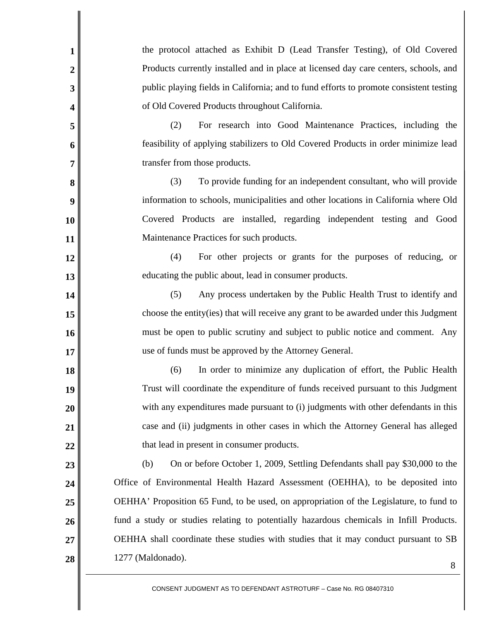| $\mathbf{1}$   | the protocol attached as Exhibit D (Lead Transfer Testing), of Old Covered              |  |
|----------------|-----------------------------------------------------------------------------------------|--|
| $\overline{2}$ | Products currently installed and in place at licensed day care centers, schools, and    |  |
| 3              | public playing fields in California; and to fund efforts to promote consistent testing  |  |
| 4              | of Old Covered Products throughout California.                                          |  |
| 5              | For research into Good Maintenance Practices, including the<br>(2)                      |  |
| 6              | feasibility of applying stabilizers to Old Covered Products in order minimize lead      |  |
| $\overline{7}$ | transfer from those products.                                                           |  |
| 8              | (3)<br>To provide funding for an independent consultant, who will provide               |  |
| 9              | information to schools, municipalities and other locations in California where Old      |  |
| 10             | Covered Products are installed, regarding independent testing and Good                  |  |
| 11             | Maintenance Practices for such products.                                                |  |
| 12             | (4)<br>For other projects or grants for the purposes of reducing, or                    |  |
| 13             | educating the public about, lead in consumer products.                                  |  |
| 14             | (5)<br>Any process undertaken by the Public Health Trust to identify and                |  |
| 15             | choose the entity (ies) that will receive any grant to be awarded under this Judgment   |  |
| 16             | must be open to public scrutiny and subject to public notice and comment. Any           |  |
| 17             | use of funds must be approved by the Attorney General.                                  |  |
| 18             | In order to minimize any duplication of effort, the Public Health<br>(6)                |  |
| 19             | Trust will coordinate the expenditure of funds received pursuant to this Judgment       |  |
| 20             | with any expenditures made pursuant to (i) judgments with other defendants in this      |  |
| 21             | case and (ii) judgments in other cases in which the Attorney General has alleged        |  |
| 22             | that lead in present in consumer products.                                              |  |
| 23             | On or before October 1, 2009, Settling Defendants shall pay \$30,000 to the<br>(b)      |  |
| 24             | Office of Environmental Health Hazard Assessment (OEHHA), to be deposited into          |  |
| 25             | OEHHA' Proposition 65 Fund, to be used, on appropriation of the Legislature, to fund to |  |
| 26             | fund a study or studies relating to potentially hazardous chemicals in Infill Products. |  |
| 27             | OEHHA shall coordinate these studies with studies that it may conduct pursuant to SB    |  |
| 28             | 1277 (Maldonado).<br>8                                                                  |  |
|                |                                                                                         |  |

Ш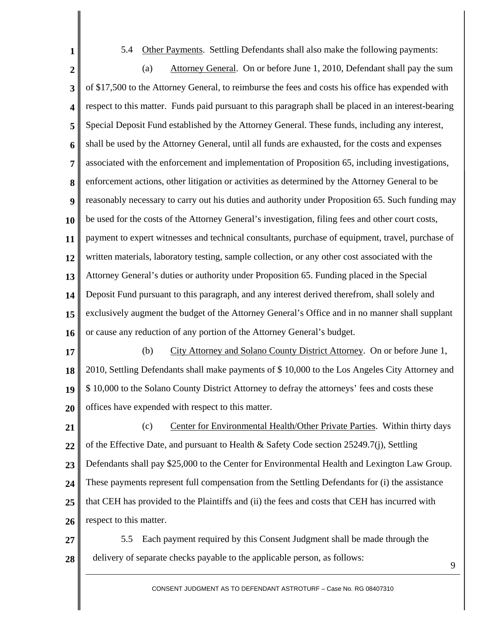5.4 Other Payments. Settling Defendants shall also make the following payments:

**1** 

**2 3 4 5 6 7 8 9 10 11 12 13 14 15 16**  (a) Attorney General. On or before June 1, 2010, Defendant shall pay the sum of \$17,500 to the Attorney General, to reimburse the fees and costs his office has expended with respect to this matter. Funds paid pursuant to this paragraph shall be placed in an interest-bearing Special Deposit Fund established by the Attorney General. These funds, including any interest, shall be used by the Attorney General, until all funds are exhausted, for the costs and expenses associated with the enforcement and implementation of Proposition 65, including investigations, enforcement actions, other litigation or activities as determined by the Attorney General to be reasonably necessary to carry out his duties and authority under Proposition 65. Such funding may be used for the costs of the Attorney General's investigation, filing fees and other court costs, payment to expert witnesses and technical consultants, purchase of equipment, travel, purchase of written materials, laboratory testing, sample collection, or any other cost associated with the Attorney General's duties or authority under Proposition 65. Funding placed in the Special Deposit Fund pursuant to this paragraph, and any interest derived therefrom, shall solely and exclusively augment the budget of the Attorney General's Office and in no manner shall supplant or cause any reduction of any portion of the Attorney General's budget.

**17 18 19 20**  (b) City Attorney and Solano County District Attorney. On or before June 1, 2010, Settling Defendants shall make payments of \$ 10,000 to the Los Angeles City Attorney and \$ 10,000 to the Solano County District Attorney to defray the attorneys' fees and costs these offices have expended with respect to this matter.

**21 22 23 24 25 26**  (c) Center for Environmental Health/Other Private Parties. Within thirty days of the Effective Date, and pursuant to Health & Safety Code section 25249.7(j), Settling Defendants shall pay \$25,000 to the Center for Environmental Health and Lexington Law Group. These payments represent full compensation from the Settling Defendants for (i) the assistance that CEH has provided to the Plaintiffs and (ii) the fees and costs that CEH has incurred with respect to this matter.

**27 28**  5.5 Each payment required by this Consent Judgment shall be made through the delivery of separate checks payable to the applicable person, as follows: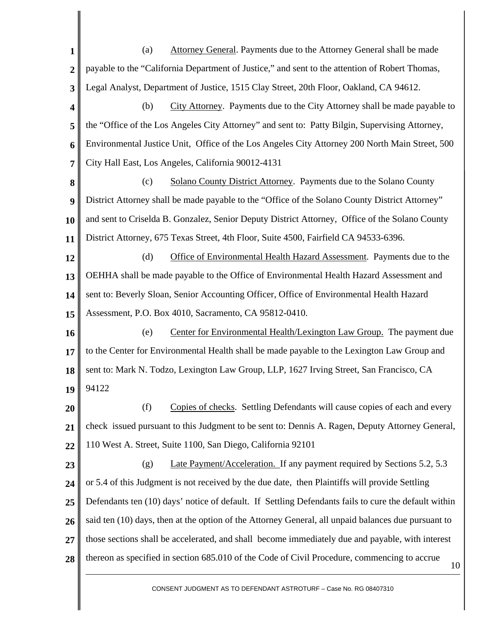**1 2 3**  (a) Attorney General. Payments due to the Attorney General shall be made payable to the "California Department of Justice," and sent to the attention of Robert Thomas, Legal Analyst, Department of Justice, 1515 Clay Street, 20th Floor, Oakland, CA 94612.

**4 5 6 7**  (b) City Attorney. Payments due to the City Attorney shall be made payable to the "Office of the Los Angeles City Attorney" and sent to: Patty Bilgin, Supervising Attorney, Environmental Justice Unit, Office of the Los Angeles City Attorney 200 North Main Street, 500 City Hall East, Los Angeles, California 90012-4131

**8 9 10 11**  (c) Solano County District Attorney. Payments due to the Solano County District Attorney shall be made payable to the "Office of the Solano County District Attorney" and sent to Criselda B. Gonzalez, Senior Deputy District Attorney, Office of the Solano County District Attorney, 675 Texas Street, 4th Floor, Suite 4500, Fairfield CA 94533-6396.

**12 13 14 15**  (d) Office of Environmental Health Hazard Assessment. Payments due to the OEHHA shall be made payable to the Office of Environmental Health Hazard Assessment and sent to: Beverly Sloan, Senior Accounting Officer, Office of Environmental Health Hazard Assessment, P.O. Box 4010, Sacramento, CA 95812-0410.

**16 17 18 19**  (e) Center for Environmental Health/Lexington Law Group. The payment due to the Center for Environmental Health shall be made payable to the Lexington Law Group and sent to: Mark N. Todzo, Lexington Law Group, LLP, 1627 Irving Street, San Francisco, CA 94122

**20 21 22**  (f) Copies of checks. Settling Defendants will cause copies of each and every check issued pursuant to this Judgment to be sent to: Dennis A. Ragen, Deputy Attorney General, 110 West A. Street, Suite 1100, San Diego, California 92101

10 **23 24 25 26 27 28**  (g) Late Payment/Acceleration. If any payment required by Sections 5.2, 5.3 or 5.4 of this Judgment is not received by the due date, then Plaintiffs will provide Settling Defendants ten (10) days' notice of default. If Settling Defendants fails to cure the default within said ten (10) days, then at the option of the Attorney General, all unpaid balances due pursuant to those sections shall be accelerated, and shall become immediately due and payable, with interest thereon as specified in section 685.010 of the Code of Civil Procedure, commencing to accrue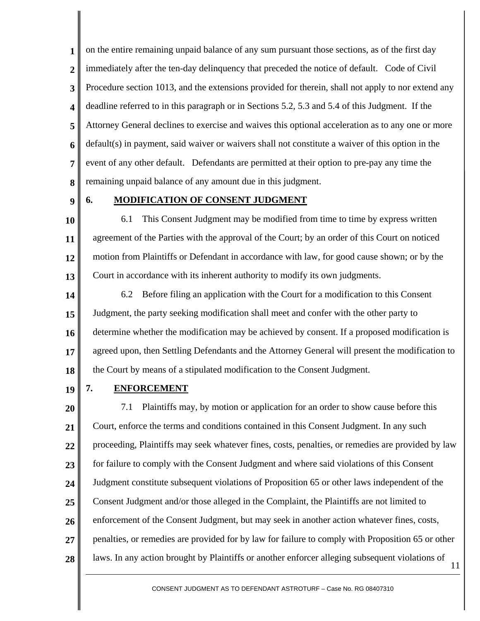**1 2 3 4 5 6 7 8**  on the entire remaining unpaid balance of any sum pursuant those sections, as of the first day immediately after the ten-day delinquency that preceded the notice of default. Code of Civil Procedure section 1013, and the extensions provided for therein, shall not apply to nor extend any deadline referred to in this paragraph or in Sections 5.2, 5.3 and 5.4 of this Judgment. If the Attorney General declines to exercise and waives this optional acceleration as to any one or more default(s) in payment, said waiver or waivers shall not constitute a waiver of this option in the event of any other default. Defendants are permitted at their option to pre-pay any time the remaining unpaid balance of any amount due in this judgment.

**9** 

### **6. MODIFICATION OF CONSENT JUDGMENT**

**10 11 12 13**  6.1 This Consent Judgment may be modified from time to time by express written agreement of the Parties with the approval of the Court; by an order of this Court on noticed motion from Plaintiffs or Defendant in accordance with law, for good cause shown; or by the Court in accordance with its inherent authority to modify its own judgments.

**14 15 16 17 18**  6.2 Before filing an application with the Court for a modification to this Consent Judgment, the party seeking modification shall meet and confer with the other party to determine whether the modification may be achieved by consent. If a proposed modification is agreed upon, then Settling Defendants and the Attorney General will present the modification to the Court by means of a stipulated modification to the Consent Judgment.

**19** 

#### **7. ENFORCEMENT**

**20 21 22 23 24 25 26 27 28**  7.1 Plaintiffs may, by motion or application for an order to show cause before this Court, enforce the terms and conditions contained in this Consent Judgment. In any such proceeding, Plaintiffs may seek whatever fines, costs, penalties, or remedies are provided by law for failure to comply with the Consent Judgment and where said violations of this Consent Judgment constitute subsequent violations of Proposition 65 or other laws independent of the Consent Judgment and/or those alleged in the Complaint, the Plaintiffs are not limited to enforcement of the Consent Judgment, but may seek in another action whatever fines, costs, penalties, or remedies are provided for by law for failure to comply with Proposition 65 or other laws. In any action brought by Plaintiffs or another enforcer alleging subsequent violations of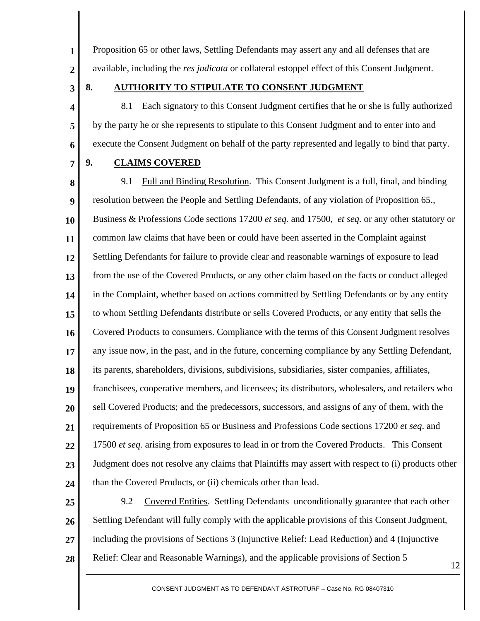Proposition 65 or other laws, Settling Defendants may assert any and all defenses that are available, including the *res judicata* or collateral estoppel effect of this Consent Judgment.

**3** 

**4** 

**5** 

**6** 

**1** 

**2** 

#### **8. AUTHORITY TO STIPULATE TO CONSENT JUDGMENT**

8.1 Each signatory to this Consent Judgment certifies that he or she is fully authorized by the party he or she represents to stipulate to this Consent Judgment and to enter into and execute the Consent Judgment on behalf of the party represented and legally to bind that party.

**7** 

#### **9. CLAIMS COVERED**

**8 9 10 11 12 13 14 15 16 17 18 19 20 21 22 23 24**  9.1 Full and Binding Resolution. This Consent Judgment is a full, final, and binding resolution between the People and Settling Defendants, of any violation of Proposition 65., Business & Professions Code sections 17200 *et seq.* and 17500, *et seq.* or any other statutory or common law claims that have been or could have been asserted in the Complaint against Settling Defendants for failure to provide clear and reasonable warnings of exposure to lead from the use of the Covered Products, or any other claim based on the facts or conduct alleged in the Complaint, whether based on actions committed by Settling Defendants or by any entity to whom Settling Defendants distribute or sells Covered Products, or any entity that sells the Covered Products to consumers. Compliance with the terms of this Consent Judgment resolves any issue now, in the past, and in the future, concerning compliance by any Settling Defendant, its parents, shareholders, divisions, subdivisions, subsidiaries, sister companies, affiliates, franchisees, cooperative members, and licensees; its distributors, wholesalers, and retailers who sell Covered Products; and the predecessors, successors, and assigns of any of them, with the requirements of Proposition 65 or Business and Professions Code sections 17200 *et seq*. and 17500 *et seq.* arising from exposures to lead in or from the Covered Products. This Consent Judgment does not resolve any claims that Plaintiffs may assert with respect to (i) products other than the Covered Products, or (ii) chemicals other than lead.

**25 26 27 28**  9.2 Covered Entities. Settling Defendants unconditionally guarantee that each other Settling Defendant will fully comply with the applicable provisions of this Consent Judgment, including the provisions of Sections 3 (Injunctive Relief: Lead Reduction) and 4 (Injunctive Relief: Clear and Reasonable Warnings), and the applicable provisions of Section 5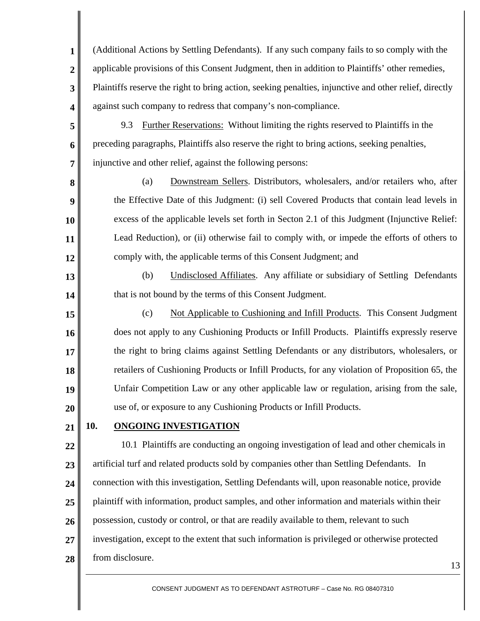**1 2 3 4**  (Additional Actions by Settling Defendants). If any such company fails to so comply with the applicable provisions of this Consent Judgment, then in addition to Plaintiffs' other remedies, Plaintiffs reserve the right to bring action, seeking penalties, injunctive and other relief, directly against such company to redress that company's non-compliance.

**5 6 7**  9.3 Further Reservations: Without limiting the rights reserved to Plaintiffs in the preceding paragraphs, Plaintiffs also reserve the right to bring actions, seeking penalties, injunctive and other relief, against the following persons:

(a) Downstream Sellers. Distributors, wholesalers, and/or retailers who, after the Effective Date of this Judgment: (i) sell Covered Products that contain lead levels in excess of the applicable levels set forth in Secton 2.1 of this Judgment (Injunctive Relief: Lead Reduction), or (ii) otherwise fail to comply with, or impede the efforts of others to comply with, the applicable terms of this Consent Judgment; and

(b) Undisclosed Affiliates. Any affiliate or subsidiary of Settling Defendants that is not bound by the terms of this Consent Judgment.

**15 16 17 18 19 20**  (c) Not Applicable to Cushioning and Infill Products. This Consent Judgment does not apply to any Cushioning Products or Infill Products. Plaintiffs expressly reserve the right to bring claims against Settling Defendants or any distributors, wholesalers, or retailers of Cushioning Products or Infill Products, for any violation of Proposition 65, the Unfair Competition Law or any other applicable law or regulation, arising from the sale, use of, or exposure to any Cushioning Products or Infill Products.

**21 10. ONGOING INVESTIGATION**

**8** 

**9** 

**10** 

**11** 

**12** 

**13** 

**14** 

**22 23 24 25 26 27 28**  10.1 Plaintiffs are conducting an ongoing investigation of lead and other chemicals in artificial turf and related products sold by companies other than Settling Defendants. In connection with this investigation, Settling Defendants will, upon reasonable notice, provide plaintiff with information, product samples, and other information and materials within their possession, custody or control, or that are readily available to them, relevant to such investigation, except to the extent that such information is privileged or otherwise protected from disclosure.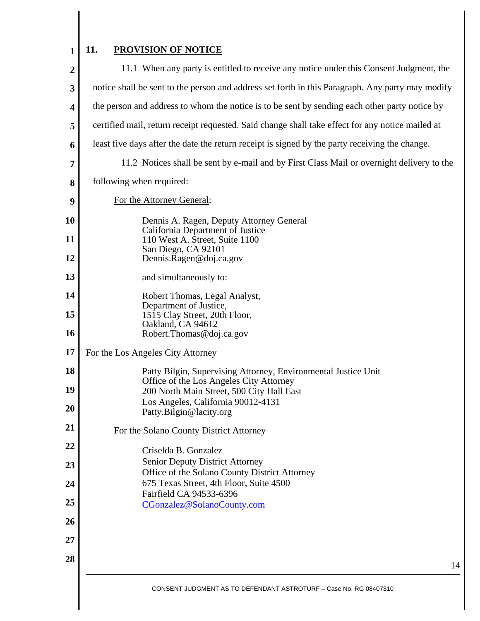#### **1 11. PROVISION OF NOTICE**

I

| $\overline{2}$ | 11.1 When any party is entitled to receive any notice under this Consent Judgment, the                    |  |  |  |
|----------------|-----------------------------------------------------------------------------------------------------------|--|--|--|
| 3              | notice shall be sent to the person and address set forth in this Paragraph. Any party may modify          |  |  |  |
| 4              | the person and address to whom the notice is to be sent by sending each other party notice by             |  |  |  |
| 5              | certified mail, return receipt requested. Said change shall take effect for any notice mailed at          |  |  |  |
| 6              | least five days after the date the return receipt is signed by the party receiving the change.            |  |  |  |
| 7              | 11.2 Notices shall be sent by e-mail and by First Class Mail or overnight delivery to the                 |  |  |  |
| 8              | following when required:                                                                                  |  |  |  |
| 9              | For the Attorney General:                                                                                 |  |  |  |
| 10             | Dennis A. Ragen, Deputy Attorney General<br>California Department of Justice                              |  |  |  |
| 11             | 110 West A. Street, Suite 1100<br>San Diego, CA 92101                                                     |  |  |  |
| 12             | Dennis.Ragen@doj.ca.gov                                                                                   |  |  |  |
| 13             | and simultaneously to:                                                                                    |  |  |  |
| 14             | Robert Thomas, Legal Analyst,<br>Department of Justice,                                                   |  |  |  |
| 15             | 1515 Clay Street, 20th Floor,<br>Oakland, CA 94612                                                        |  |  |  |
| 16             | Robert.Thomas@doj.ca.gov                                                                                  |  |  |  |
| 17             | For the Los Angeles City Attorney                                                                         |  |  |  |
| 18             | Patty Bilgin, Supervising Attorney, Environmental Justice Unit<br>Office of the Los Angeles City Attorney |  |  |  |
| 19             | 200 North Main Street, 500 City Hall East                                                                 |  |  |  |
| 20             | Los Angeles, California 90012-4131<br>Patty.Bilgin@lacity.org                                             |  |  |  |
| 21             | For the Solano County District Attorney                                                                   |  |  |  |
| 22             | Criselda B. Gonzalez                                                                                      |  |  |  |
| 23             | <b>Senior Deputy District Attorney</b><br>Office of the Solano County District Attorney                   |  |  |  |
| 24             | 675 Texas Street, 4th Floor, Suite 4500<br>Fairfield CA 94533-6396                                        |  |  |  |
| 25             | CGonzalez@SolanoCounty.com                                                                                |  |  |  |
| 26             |                                                                                                           |  |  |  |
| 27             |                                                                                                           |  |  |  |
| 28             | 14                                                                                                        |  |  |  |
|                | CONSENT JUDGMENT AS TO DEFENDANT ASTROTURF - Case No. RG 08407310                                         |  |  |  |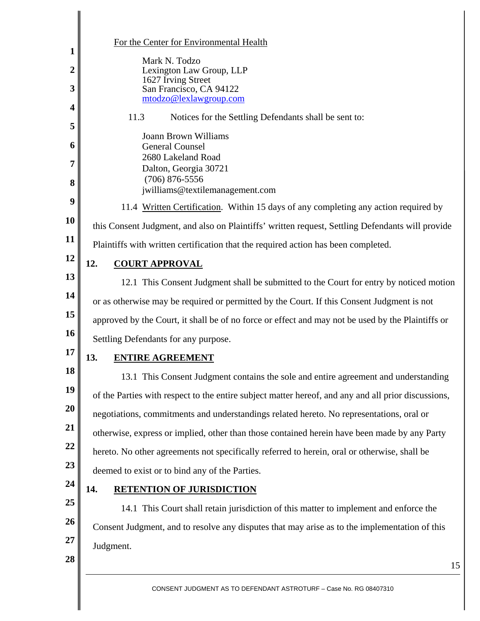|                       | For the Center for Environmental Health                                                             |  |  |
|-----------------------|-----------------------------------------------------------------------------------------------------|--|--|
| 1<br>$\boldsymbol{2}$ | Mark N. Todzo<br>Lexington Law Group, LLP                                                           |  |  |
| 3                     | 1627 Irving Street<br>San Francisco, CA 94122                                                       |  |  |
| 4                     | mtodzo@lexlawgroup.com                                                                              |  |  |
| 5                     | 11.3<br>Notices for the Settling Defendants shall be sent to:                                       |  |  |
| 6                     | <b>Joann Brown Williams</b><br><b>General Counsel</b>                                               |  |  |
| 7                     | 2680 Lakeland Road                                                                                  |  |  |
|                       | Dalton, Georgia 30721<br>$(706)$ 876-5556                                                           |  |  |
| 8                     | jwilliams@textilemanagement.com                                                                     |  |  |
| 9                     | 11.4 Written Certification. Within 15 days of any completing any action required by                 |  |  |
| <b>10</b>             | this Consent Judgment, and also on Plaintiffs' written request, Settling Defendants will provide    |  |  |
| 11                    | Plaintiffs with written certification that the required action has been completed.                  |  |  |
| 12                    | <b>COURT APPROVAL</b><br>12.                                                                        |  |  |
| 13                    | 12.1 This Consent Judgment shall be submitted to the Court for entry by noticed motion              |  |  |
| 14                    | or as otherwise may be required or permitted by the Court. If this Consent Judgment is not          |  |  |
| 15                    | approved by the Court, it shall be of no force or effect and may not be used by the Plaintiffs or   |  |  |
| 16                    | Settling Defendants for any purpose.                                                                |  |  |
| 17                    | <b>ENTIRE AGREEMENT</b><br>13.                                                                      |  |  |
| 18                    | 13.1 This Consent Judgment contains the sole and entire agreement and understanding                 |  |  |
| 19                    | of the Parties with respect to the entire subject matter hereof, and any and all prior discussions, |  |  |
| 20                    | negotiations, commitments and understandings related hereto. No representations, oral or            |  |  |
| 21                    | otherwise, express or implied, other than those contained herein have been made by any Party        |  |  |
| 22                    | hereto. No other agreements not specifically referred to herein, oral or otherwise, shall be        |  |  |
| 23                    | deemed to exist or to bind any of the Parties.                                                      |  |  |
| 24                    | <b>RETENTION OF JURISDICTION</b><br>14.                                                             |  |  |
| 25                    | 14.1 This Court shall retain jurisdiction of this matter to implement and enforce the               |  |  |
| 26                    | Consent Judgment, and to resolve any disputes that may arise as to the implementation of this       |  |  |
| 27                    | Judgment.                                                                                           |  |  |
| 28                    | 15                                                                                                  |  |  |
|                       |                                                                                                     |  |  |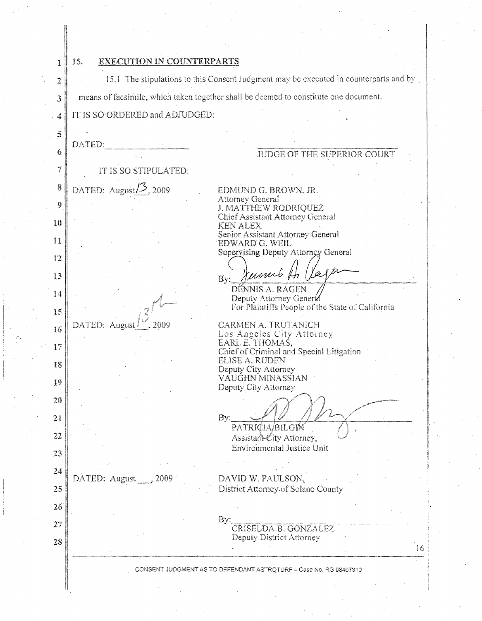| 1       | EXECUTION IN COUNTERPARTS<br>15. |                                                                                       |
|---------|----------------------------------|---------------------------------------------------------------------------------------|
| 2       |                                  | 15.1 The stipulations to this Consent Judgment may be executed in counterparts and by |
| 3       |                                  | means of facsimile, which taken together shall be deemed to constitute one document.  |
| . 4     | IT IS SO ORDERED and ADJUDGED:   |                                                                                       |
| 5       | DATED:                           |                                                                                       |
| 6       |                                  | JUDGE OF THE SUPERIOR COURT                                                           |
| 7       | IT IS SO STIPULATED:             |                                                                                       |
| 8       | DATED: August $/2$ , 2009        | EDMUND G. BROWN, JR.                                                                  |
| 9       |                                  | <b>Attorney General</b><br>J. MATTHEW RODRIQUEZ                                       |
| 10      |                                  | Chief Assistant Attorney General<br><b>KEN ALEX</b>                                   |
| Ħ       |                                  | Senior Assistant Attorney General<br>EDWARD G. WEIL                                   |
| 12      |                                  | Supervising Deputy Attorney General                                                   |
| 13      |                                  | mms 4<br>By:                                                                          |
| 14      |                                  | DÉNNIS A. RAGEN<br>Deputy Attorney General                                            |
| 15      |                                  | For Plaintiffs People of the State of California                                      |
| 16      | 2009<br>DATED: August            | <b>CARMEN A. TRUTANICH</b><br>Los Angeles City Attorney                               |
| 17      |                                  | EARL E. THOMAS,<br>Chief of Criminal and Special Litigation                           |
| 18      |                                  | <b>ELISE A. RUDEN</b>                                                                 |
| 19      |                                  | Deputy City Attorney<br>VÁUĞHN MINASSIAN                                              |
| $20 \,$ |                                  | Deputy City Attorney                                                                  |
| 21      |                                  | By:                                                                                   |
| 22      |                                  | PATRICIA/BILGI <b>M</b>                                                               |
| 23      |                                  | Assistant-City Attorney,<br><b>Environmental Justice Unit</b>                         |
| $24\,$  |                                  |                                                                                       |
| 25      | DATED: August<br>2009            | DAVID W. PAULSON,<br>District Attorney of Solano County                               |
|         |                                  |                                                                                       |
| 26      |                                  | By:                                                                                   |
| 27      |                                  | CRISELDA B. GONZALEZ<br>Deputy District Attorney                                      |
| 28      |                                  | 16                                                                                    |
|         |                                  | CONSENT JUDGMENT AS TO DEFENDANT ASTROTURF - Case No. RG 08407310                     |
|         |                                  |                                                                                       |

 $\mathcal{O}(\mathcal{C})$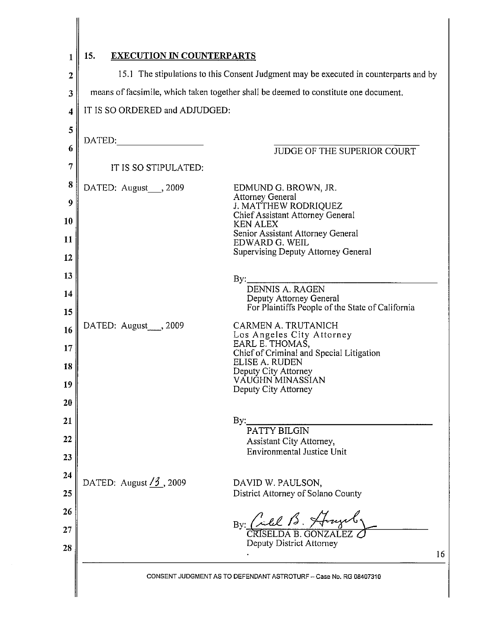| 1                 | 15.<br><b>EXECUTION IN COUNTERPARTS</b>                                                                                                                                       |                                                                             |  |
|-------------------|-------------------------------------------------------------------------------------------------------------------------------------------------------------------------------|-----------------------------------------------------------------------------|--|
| $\mathbf{2}$<br>3 | 15.1 The stipulations to this Consent Judgment may be executed in counterparts and by<br>means of facsimile, which taken together shall be deemed to constitute one document. |                                                                             |  |
| 4                 | IT IS SO ORDERED and ADJUDGED:                                                                                                                                                |                                                                             |  |
| 5                 |                                                                                                                                                                               |                                                                             |  |
| 6                 | $\begin{tabular}{c} \bf{DATA} \end{tabular}$                                                                                                                                  |                                                                             |  |
| 7                 | IT IS SO STIPULATED:                                                                                                                                                          | JUDGE OF THE SUPERIOR COURT                                                 |  |
|                   |                                                                                                                                                                               |                                                                             |  |
| 8                 | DATED: August , 2009                                                                                                                                                          | EDMUND G. BROWN, JR.<br><b>Attorney General</b>                             |  |
| 9                 |                                                                                                                                                                               | <b>J. MATTHEW RODRIQUEZ</b><br>Chief Assistant Attorney General             |  |
| 10                |                                                                                                                                                                               | <b>KEN ALEX</b><br>Senior Assistant Attorney General                        |  |
| 11                |                                                                                                                                                                               | EDWARD G. WEIL<br>Supervising Deputy Attorney General                       |  |
| 12                |                                                                                                                                                                               |                                                                             |  |
| 13                |                                                                                                                                                                               | By: DENNIS A. RAGEN                                                         |  |
| 14<br>15          |                                                                                                                                                                               | Deputy Attorney General<br>For Plaintiffs People of the State of California |  |
| 16                | DATED: August ___, 2009                                                                                                                                                       | CARMEN A. TRUTANICH                                                         |  |
| 17                |                                                                                                                                                                               | Los Angeles City Attorney<br>EARL E. THOMAS,                                |  |
| 18                |                                                                                                                                                                               | Chief of Criminal and Special Litigation<br>ELISE A. RUDEN                  |  |
| 19                |                                                                                                                                                                               | Deputy City Attorney<br>VÁUGHN MINASSIAN                                    |  |
| 20                |                                                                                                                                                                               | Deputy City Attorney                                                        |  |
| 21                |                                                                                                                                                                               | $\mathbf{By:}$                                                              |  |
| 22                |                                                                                                                                                                               | <b>PATTY BILGIN</b><br>Assistant City Attorney,                             |  |
| 23                |                                                                                                                                                                               | <b>Environmental Justice Unit</b>                                           |  |
| 24                |                                                                                                                                                                               |                                                                             |  |
| 25                | DATED: August $\frac{73}{3}$ , 2009                                                                                                                                           | DAVID W. PAULSON,<br>District Attorney of Solano County                     |  |
| 26                |                                                                                                                                                                               |                                                                             |  |
| 27                |                                                                                                                                                                               | By: Cilel B. Honzel                                                         |  |
|                   |                                                                                                                                                                               | <b>CRISELDA B. GONZALEZ</b><br>Deputy District Attorney                     |  |
| 28                |                                                                                                                                                                               | 16                                                                          |  |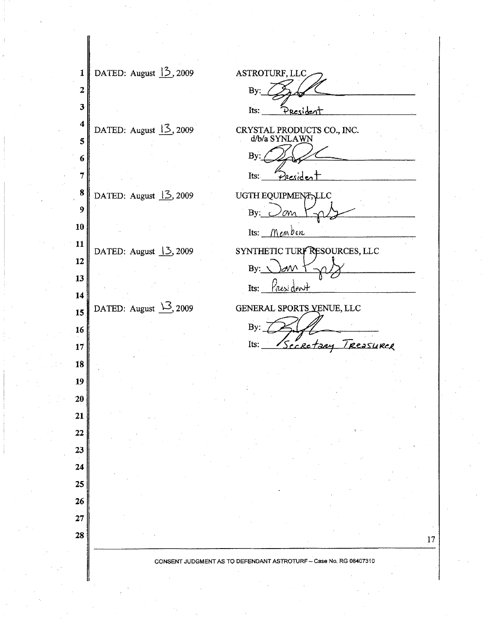DATED: August  $13$ , 2009 ASTROTURF, LLC  $\mathbf{1}$  $\overline{2}$ By: 3 Its: President 4 DATED: August  $13,2009$ CRYSTAL PRODUCTS CO., INC.<br>d/b/a SYNLAWN 5 Bv 6 7 Its: Pres 8 DATED: August  $13,2009$ UGTH EQUIPMENT, LLC  $\boldsymbol{9}$ By: cт 10 Its:  $M_{em}$ ben 11 DATED: August 13, 2009 SYNTHETIC TURF RESOURCES, LLC 12  $By:$ 13 Its: Yrus 14 DATED: August  $\frac{13}{2}$ , 2009 GENERAL SPORTS VENUE, LLC 15 By:  $\overline{\phantom{a}}$ 16 Its: Secretary Treasurer 17 18 19 20 21 22 23 24 25 26  $27$ 28 CONSENT JUDGMENT AS TO DEFENDANT ASTROTURF - Case No. RG 08407310

17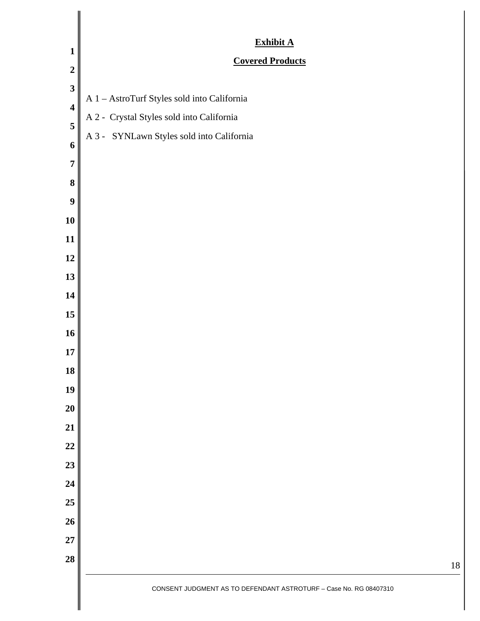| $\mathbf{1}$            | Exhibit A                                                         |
|-------------------------|-------------------------------------------------------------------|
| $\overline{2}$          | <b>Covered Products</b>                                           |
| $\mathbf{3}$            |                                                                   |
| $\overline{\mathbf{4}}$ | A 1 - AstroTurf Styles sold into California                       |
| 5                       | A 2 - Crystal Styles sold into California                         |
| 6                       | A 3 - SYNLawn Styles sold into California                         |
| $\overline{7}$          |                                                                   |
| 8                       |                                                                   |
| 9                       |                                                                   |
| 10                      |                                                                   |
| 11                      |                                                                   |
| 12                      |                                                                   |
| 13                      |                                                                   |
| 14                      |                                                                   |
| 15                      |                                                                   |
| 16                      |                                                                   |
| 17                      |                                                                   |
| 18                      |                                                                   |
| 19                      |                                                                   |
| 20                      |                                                                   |
| 21                      |                                                                   |
| 22                      |                                                                   |
| 23                      |                                                                   |
| 24                      |                                                                   |
| 25                      |                                                                   |
| 26                      |                                                                   |
| $\bf 27$                |                                                                   |
| 28                      |                                                                   |
|                         | CONSENT JUDGMENT AS TO DEFENDANT ASTROTURF - Case No. RG 08407310 |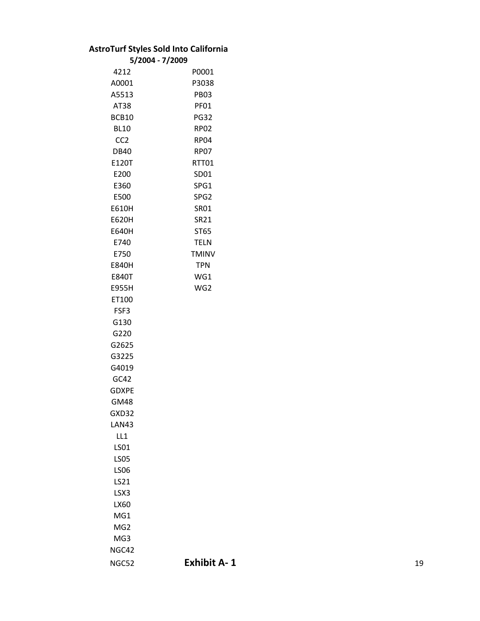## **AstroTurf Styles Sold Into California**

|                  | 5/2004 - 7/2009  |
|------------------|------------------|
| 4212             | P0001            |
| A0001            | P3038            |
| A5513            | <b>PB03</b>      |
| AT38             | PF01             |
| BCB10            | <b>PG32</b>      |
| <b>BL10</b>      | RP02             |
| CC <sub>2</sub>  | <b>RP04</b>      |
| DB40             | <b>RP07</b>      |
| E120T            | RTT01            |
| E200             | SD01             |
| E360             | SPG1             |
| E500             | SPG <sub>2</sub> |
| E610H            | <b>SR01</b>      |
| E620H            | <b>SR21</b>      |
| E640H            | ST65             |
| E740             | <b>TELN</b>      |
| E750             | <b>TMINV</b>     |
| <b>E840H</b>     | <b>TPN</b>       |
| <b>E840T</b>     | WG1              |
| E955H            | WG2              |
| ET100            |                  |
| FSF3             |                  |
| G130             |                  |
| G220             |                  |
| G2625            |                  |
| G3225            |                  |
| G4019            |                  |
| GC42             |                  |
| GDXPE            |                  |
| GM48             |                  |
| GXD32            |                  |
| LAN43            |                  |
| LL1              |                  |
| <b>LS01</b>      |                  |
| <b>LS05</b>      |                  |
| LS <sub>06</sub> |                  |
| LS21             |                  |
| LSX3             |                  |
| LX60             |                  |
| MG1              |                  |
| MG <sub>2</sub>  |                  |
| MG3              |                  |
| NGC42            |                  |
| NGC52            | <b>Exhibit</b>   |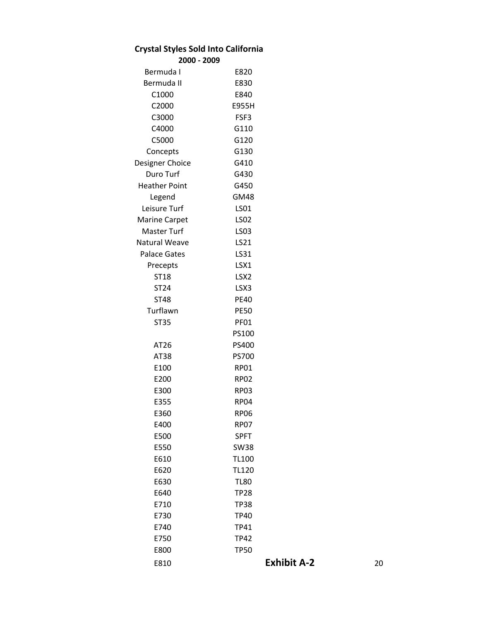| <b>Crystal Styles Sold Into California</b> |                    |    |
|--------------------------------------------|--------------------|----|
| 2000 - 2009                                |                    |    |
| Bermuda I                                  | E820               |    |
| Bermuda II                                 | E830               |    |
| C1000                                      | E840               |    |
| C2000                                      | E955H              |    |
| C3000                                      | FSF3               |    |
| C4000                                      | G110               |    |
| C5000                                      | G120               |    |
| Concepts                                   | G130               |    |
| Designer Choice                            | G410               |    |
| Duro Turf                                  | G430               |    |
| <b>Heather Point</b>                       | G450               |    |
| Legend                                     | <b>GM48</b>        |    |
| Leisure Turf                               | LS01               |    |
| <b>Marine Carpet</b>                       | <b>LS02</b>        |    |
| Master Turf                                | LS03               |    |
| <b>Natural Weave</b>                       | LS21               |    |
| <b>Palace Gates</b>                        | LS31               |    |
| Precepts                                   | LSX1               |    |
| ST18                                       | LSX <sub>2</sub>   |    |
| ST24                                       | LSX3               |    |
| <b>ST48</b>                                | <b>PE40</b>        |    |
| Turflawn                                   | <b>PE50</b>        |    |
| <b>ST35</b>                                | <b>PF01</b>        |    |
|                                            | PS100              |    |
| AT26                                       | PS400              |    |
| AT38                                       | <b>PS700</b>       |    |
| E100                                       | <b>RP01</b>        |    |
| E200                                       | <b>RP02</b>        |    |
| E300                                       | <b>RP03</b>        |    |
| E355                                       | RP <sub>04</sub>   |    |
| E360                                       | <b>RP06</b>        |    |
| E400                                       | <b>RP07</b>        |    |
| E500                                       | <b>SPFT</b>        |    |
| E550                                       | <b>SW38</b>        |    |
| E610                                       | <b>TL100</b>       |    |
| E620                                       | <b>TL120</b>       |    |
| E630                                       | <b>TL80</b>        |    |
| E640                                       | <b>TP28</b>        |    |
| E710                                       | <b>TP38</b>        |    |
| E730                                       | <b>TP40</b>        |    |
| E740                                       | <b>TP41</b>        |    |
| E750                                       | <b>TP42</b>        |    |
| E800                                       | <b>TP50</b>        |    |
| E810                                       | <b>Exhibit A-2</b> | 20 |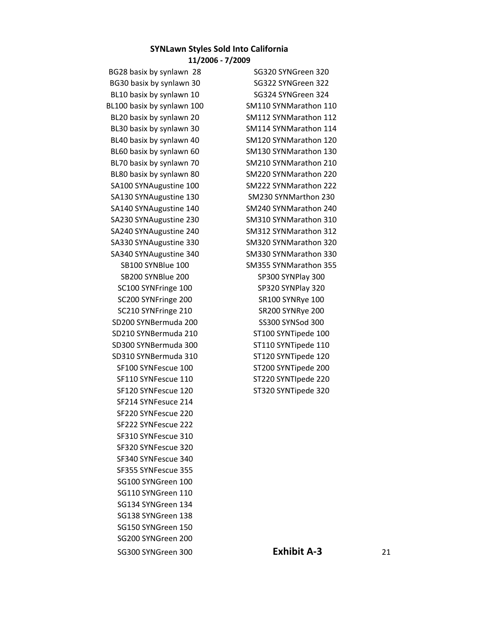#### **SYNLawn Styles Sold Into California**

**11/2006 ‐ 7/2009**

BG28 basix by synlawn 28 SG320 SYNGreen 320 BG30 basix by synlawn 30 SG322 SYNGreen 322 BL10 basix by synlawn 10 SG324 SYNGreen 324 BL100 basix by synlawn 100 SM110 SYNMarathon 110 BL20 basix by synlawn 20 SM112 SYNMarathon 112 BL30 basix by synlawn 30 SM114 SYNMarathon 114 BL40 basix by synlawn 40 SM120 SYNMarathon 120 BL60 basix by synlawn 60 SM130 SYNMarathon 130 BL70 basix by synlawn 70 SM210 SYNMarathon 210 BL80 basix by synlawn 80 SM220 SYNMarathon 220 SA100 SYNAugustine 100 SM222 SYNMarathon 222 SA130 SYNAugustine 130 SM230 SYNMarthon 230 SA140 SYNAugustine 140 SM240 SYNMarathon 240 SA230 SYNAugustine 230 SM310 SYNMarathon 310 SA240 SYNAugustine 240 SM312 SYNMarathon 312 SA330 SYNAugustine 330 SM320 SYNMarathon 320 SA340 SYNAugustine 340 SM330 SYNMarathon 330 SB200 SYNBlue 200 SP300 SYNPlay 300 SC100 SYNFringe 100 SP320 SYNPlay 320 SC200 SYNFringe 200 SR100 SYNRye 100 SC210 SYNFringe 210 SR200 SYNRye 200 SD200 SYNBermuda 200 SS300 SYNSod 300 SD210 SYNBermuda 210 ST100 SYNTipede 100 SD300 SYNBermuda 300 ST110 SYNTipede 110 SD310 SYNBermuda 310 ST120 SYNTipede 120 SF100 SYNFescue 100 ST200 SYNTipede 200 SF110 SYNFescue 110 ST220 SYNTIpede 220 SF120 SYNFescue 120 ST320 SYNTipede 320 SF214 SYNFesuce 214 SF220 SYNFescue 220 SF222 SYNFescue 222 SF310 SYNFescue 310 SF320 SYNFescue 320 SF340 SYNFescue 340 SF355 SYNFescue 355 SG100 SYNGreen 100 SG110 SYNGreen 110 SG134 SYNGreen 134 SG138 SYNGreen 138 SG150 SYNGreen 150 SG200 SYNGreen 200 SG300 SYNGreen 300 **Exhibit A‐3** 21

SB100 SYNBlue 100 SM355 SYNMarathon 355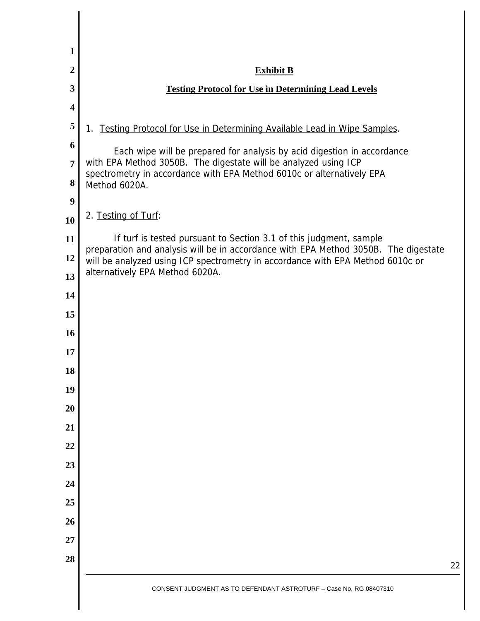| 1                       |                                                                                                                                                           |  |
|-------------------------|-----------------------------------------------------------------------------------------------------------------------------------------------------------|--|
| $\overline{2}$          | <b>Exhibit B</b>                                                                                                                                          |  |
| 3                       | <b>Testing Protocol for Use in Determining Lead Levels</b>                                                                                                |  |
| $\overline{\mathbf{4}}$ |                                                                                                                                                           |  |
| 5                       | 1. Testing Protocol for Use in Determining Available Lead in Wipe Samples.                                                                                |  |
| 6                       | Each wipe will be prepared for analysis by acid digestion in accordance                                                                                   |  |
| $\overline{7}$          | with EPA Method 3050B. The digestate will be analyzed using ICP<br>spectrometry in accordance with EPA Method 6010c or alternatively EPA                  |  |
| 8                       | Method 6020A.                                                                                                                                             |  |
| 9                       |                                                                                                                                                           |  |
| 10                      | 2. Testing of Turf:                                                                                                                                       |  |
| 11                      | If turf is tested pursuant to Section 3.1 of this judgment, sample<br>preparation and analysis will be in accordance with EPA Method 3050B. The digestate |  |
| 12                      | will be analyzed using ICP spectrometry in accordance with EPA Method 6010c or<br>alternatively EPA Method 6020A.                                         |  |
| 13                      |                                                                                                                                                           |  |
| 14                      |                                                                                                                                                           |  |
| 15                      |                                                                                                                                                           |  |
| 16<br>17                |                                                                                                                                                           |  |
| 18                      |                                                                                                                                                           |  |
| 19                      |                                                                                                                                                           |  |
| 20                      |                                                                                                                                                           |  |
| 21                      |                                                                                                                                                           |  |
| 22                      |                                                                                                                                                           |  |
| 23                      |                                                                                                                                                           |  |
| 24                      |                                                                                                                                                           |  |
| 25                      |                                                                                                                                                           |  |
| 26                      |                                                                                                                                                           |  |
| 27                      |                                                                                                                                                           |  |
| 28                      | 22                                                                                                                                                        |  |
|                         | CONSENT JUDGMENT AS TO DEFENDANT ASTROTURF - Case No. RG 08407310                                                                                         |  |
|                         |                                                                                                                                                           |  |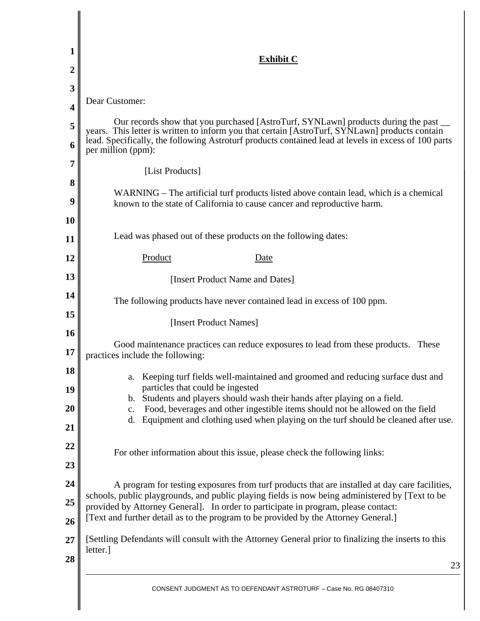| 1        | <b>Exhibit C</b>                                                                                                                                                                                                                                                                                                  |  |  |  |
|----------|-------------------------------------------------------------------------------------------------------------------------------------------------------------------------------------------------------------------------------------------------------------------------------------------------------------------|--|--|--|
| 2        |                                                                                                                                                                                                                                                                                                                   |  |  |  |
| 3        |                                                                                                                                                                                                                                                                                                                   |  |  |  |
| 4        | Dear Customer:                                                                                                                                                                                                                                                                                                    |  |  |  |
| 5<br>6   | Our records show that you purchased [AstroTurf, SYNLawn] products during the past<br>years. This letter is written to inform you that certain [AstroTurf, SYNLawn] products contain<br>lead. Specifically, the following Astroturf products contained lead at levels in excess of 100 parts<br>per million (ppm): |  |  |  |
| 7        |                                                                                                                                                                                                                                                                                                                   |  |  |  |
| 8        | [List Products]                                                                                                                                                                                                                                                                                                   |  |  |  |
| 9        | WARNING – The artificial turf products listed above contain lead, which is a chemical<br>known to the state of California to cause cancer and reproductive harm.                                                                                                                                                  |  |  |  |
| 10       |                                                                                                                                                                                                                                                                                                                   |  |  |  |
| 11       | Lead was phased out of these products on the following dates:                                                                                                                                                                                                                                                     |  |  |  |
| 12       | Product<br><u>Date</u>                                                                                                                                                                                                                                                                                            |  |  |  |
| 13       | [Insert Product Name and Dates]                                                                                                                                                                                                                                                                                   |  |  |  |
| 14       | The following products have never contained lead in excess of 100 ppm.                                                                                                                                                                                                                                            |  |  |  |
| 15<br>16 | [Insert Product Names]                                                                                                                                                                                                                                                                                            |  |  |  |
| 17       | Good maintenance practices can reduce exposures to lead from these products.<br>These<br>practices include the following:                                                                                                                                                                                         |  |  |  |
| 18       | Keeping turf fields well-maintained and groomed and reducing surface dust and<br>a.                                                                                                                                                                                                                               |  |  |  |
| 19       | particles that could be ingested<br>Students and players should wash their hands after playing on a field.<br>b.                                                                                                                                                                                                  |  |  |  |
| 20       | Food, beverages and other ingestible items should not be allowed on the field<br>$\mathbf{c}$ .<br>Equipment and clothing used when playing on the turf should be cleaned after use.                                                                                                                              |  |  |  |
| 21       | d.                                                                                                                                                                                                                                                                                                                |  |  |  |
| 22       | For other information about this issue, please check the following links:                                                                                                                                                                                                                                         |  |  |  |
| 23       |                                                                                                                                                                                                                                                                                                                   |  |  |  |
| 24       | A program for testing exposures from turf products that are installed at day care facilities,                                                                                                                                                                                                                     |  |  |  |
| 25<br>26 | schools, public playgrounds, and public playing fields is now being administered by [Text to be<br>provided by Attorney General]. In order to participate in program, please contact:<br>[Text and further detail as to the program to be provided by the Attorney General.]                                      |  |  |  |
| 27       | [Settling Defendants will consult with the Attorney General prior to finalizing the inserts to this<br>letter.                                                                                                                                                                                                    |  |  |  |
| 28       | 23                                                                                                                                                                                                                                                                                                                |  |  |  |
|          |                                                                                                                                                                                                                                                                                                                   |  |  |  |

I ∥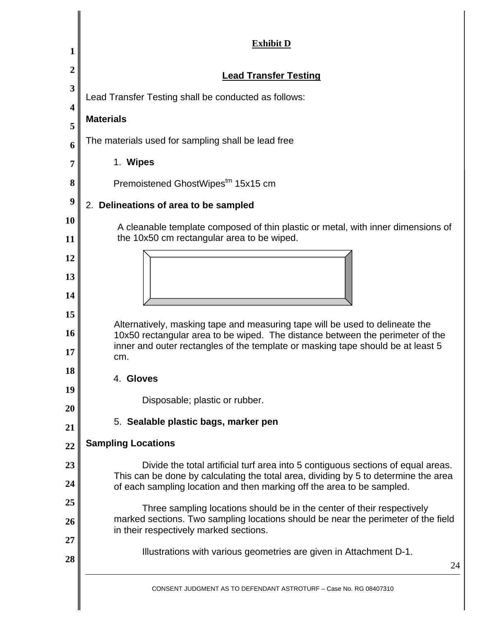| 1            | <b>Exhibit D</b>                                                                                                                                                                                      |  |  |  |
|--------------|-------------------------------------------------------------------------------------------------------------------------------------------------------------------------------------------------------|--|--|--|
| $\mathbf{2}$ | <b>Lead Transfer Testing</b>                                                                                                                                                                          |  |  |  |
| 3            | Lead Transfer Testing shall be conducted as follows:                                                                                                                                                  |  |  |  |
| 4            | <b>Materials</b>                                                                                                                                                                                      |  |  |  |
| 5            | The materials used for sampling shall be lead free                                                                                                                                                    |  |  |  |
| 6            | 1. Wipes                                                                                                                                                                                              |  |  |  |
| 7<br>8       |                                                                                                                                                                                                       |  |  |  |
| 9            | Premoistened GhostWipestm 15x15 cm                                                                                                                                                                    |  |  |  |
| 10           | 2. Delineations of area to be sampled                                                                                                                                                                 |  |  |  |
| 11           | A cleanable template composed of thin plastic or metal, with inner dimensions of<br>the 10x50 cm rectangular area to be wiped.                                                                        |  |  |  |
| 12           |                                                                                                                                                                                                       |  |  |  |
| 13           |                                                                                                                                                                                                       |  |  |  |
| 14           |                                                                                                                                                                                                       |  |  |  |
| 15           | Alternatively, masking tape and measuring tape will be used to delineate the                                                                                                                          |  |  |  |
| 16           | 10x50 rectangular area to be wiped. The distance between the perimeter of the<br>inner and outer rectangles of the template or masking tape should be at least 5<br>cm.                               |  |  |  |
| 17<br>18     |                                                                                                                                                                                                       |  |  |  |
| 19           | 4. Gloves                                                                                                                                                                                             |  |  |  |
| 20           | Disposable; plastic or rubber.                                                                                                                                                                        |  |  |  |
| 21           | 5. Sealable plastic bags, marker pen                                                                                                                                                                  |  |  |  |
| 22           | <b>Sampling Locations</b>                                                                                                                                                                             |  |  |  |
| 23           | Divide the total artificial turf area into 5 contiguous sections of equal areas.<br>This can be done by calculating the total area, dividing by 5 to determine the area                               |  |  |  |
| 24           | of each sampling location and then marking off the area to be sampled.                                                                                                                                |  |  |  |
| 25<br>26     | Three sampling locations should be in the center of their respectively<br>marked sections. Two sampling locations should be near the perimeter of the field<br>in their respectively marked sections. |  |  |  |
| 27<br>28     | Illustrations with various geometries are given in Attachment D-1.<br>24                                                                                                                              |  |  |  |
|              | CONSENT JUDGMENT AS TO DEFENDANT ASTROTURF - Case No. RG 08407310                                                                                                                                     |  |  |  |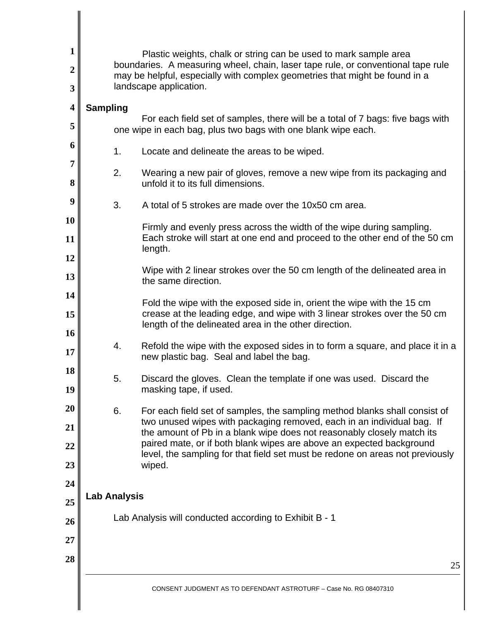| $\mathbf{1}$                                                                               | Plastic weights, chalk or string can be used to mark sample area                                                                                                                          |                                                                                                                                                                                                                                                                                                                                                                                                                                                                                                                                                                                                                                                                                                                                                                                                                                                                |  |  |  |
|--------------------------------------------------------------------------------------------|-------------------------------------------------------------------------------------------------------------------------------------------------------------------------------------------|----------------------------------------------------------------------------------------------------------------------------------------------------------------------------------------------------------------------------------------------------------------------------------------------------------------------------------------------------------------------------------------------------------------------------------------------------------------------------------------------------------------------------------------------------------------------------------------------------------------------------------------------------------------------------------------------------------------------------------------------------------------------------------------------------------------------------------------------------------------|--|--|--|
| $\overline{2}$<br>3                                                                        | boundaries. A measuring wheel, chain, laser tape rule, or conventional tape rule<br>may be helpful, especially with complex geometries that might be found in a<br>landscape application. |                                                                                                                                                                                                                                                                                                                                                                                                                                                                                                                                                                                                                                                                                                                                                                                                                                                                |  |  |  |
| $\overline{\mathbf{4}}$<br>5<br>6<br>7<br>8<br>9<br>10<br>11<br>12<br>13<br>14<br>15<br>16 | <b>Sampling</b><br>1.<br>2.<br>3.                                                                                                                                                         | For each field set of samples, there will be a total of 7 bags: five bags with<br>one wipe in each bag, plus two bags with one blank wipe each.<br>Locate and delineate the areas to be wiped.<br>Wearing a new pair of gloves, remove a new wipe from its packaging and<br>unfold it to its full dimensions.<br>A total of 5 strokes are made over the 10x50 cm area.<br>Firmly and evenly press across the width of the wipe during sampling.<br>Each stroke will start at one end and proceed to the other end of the 50 cm<br>length.<br>Wipe with 2 linear strokes over the 50 cm length of the delineated area in<br>the same direction.<br>Fold the wipe with the exposed side in, orient the wipe with the 15 cm<br>crease at the leading edge, and wipe with 3 linear strokes over the 50 cm<br>length of the delineated area in the other direction. |  |  |  |
| 17                                                                                         | 4.                                                                                                                                                                                        | Refold the wipe with the exposed sides in to form a square, and place it in a<br>new plastic bag. Seal and label the bag.                                                                                                                                                                                                                                                                                                                                                                                                                                                                                                                                                                                                                                                                                                                                      |  |  |  |
| 18<br>19                                                                                   | 5.                                                                                                                                                                                        | Discard the gloves. Clean the template if one was used. Discard the<br>masking tape, if used.                                                                                                                                                                                                                                                                                                                                                                                                                                                                                                                                                                                                                                                                                                                                                                  |  |  |  |
| 20<br>21<br>22<br>23                                                                       | 6.                                                                                                                                                                                        | For each field set of samples, the sampling method blanks shall consist of<br>two unused wipes with packaging removed, each in an individual bag. If<br>the amount of Pb in a blank wipe does not reasonably closely match its<br>paired mate, or if both blank wipes are above an expected background<br>level, the sampling for that field set must be redone on areas not previously<br>wiped.                                                                                                                                                                                                                                                                                                                                                                                                                                                              |  |  |  |
| 24<br>25<br>26<br>27                                                                       | <b>Lab Analysis</b>                                                                                                                                                                       | Lab Analysis will conducted according to Exhibit B - 1                                                                                                                                                                                                                                                                                                                                                                                                                                                                                                                                                                                                                                                                                                                                                                                                         |  |  |  |
| 28                                                                                         |                                                                                                                                                                                           | 25                                                                                                                                                                                                                                                                                                                                                                                                                                                                                                                                                                                                                                                                                                                                                                                                                                                             |  |  |  |
|                                                                                            |                                                                                                                                                                                           | CONSENT HIDGMENT AS TO DEFENDANT ASTROTHRE – Case No. RG 08407310                                                                                                                                                                                                                                                                                                                                                                                                                                                                                                                                                                                                                                                                                                                                                                                              |  |  |  |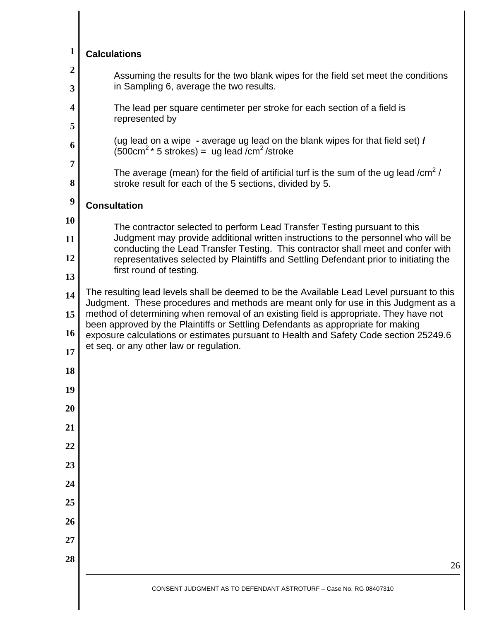| $\mathbf{1}$          | <b>Calculations</b>                                                                                                                                                                                                                                                                                                                                                                                                                                                                               |  |  |  |  |
|-----------------------|---------------------------------------------------------------------------------------------------------------------------------------------------------------------------------------------------------------------------------------------------------------------------------------------------------------------------------------------------------------------------------------------------------------------------------------------------------------------------------------------------|--|--|--|--|
| $\boldsymbol{2}$<br>3 | Assuming the results for the two blank wipes for the field set meet the conditions<br>in Sampling 6, average the two results.                                                                                                                                                                                                                                                                                                                                                                     |  |  |  |  |
| 4<br>5                | The lead per square centimeter per stroke for each section of a field is<br>represented by                                                                                                                                                                                                                                                                                                                                                                                                        |  |  |  |  |
| 6                     | (ug lead on a wipe - average ug lead on the blank wipes for that field set) /<br>$(500 \text{cm}^2 \cdot 5 \text{ strokes}) = \text{ug lead/cm}^2/\text{stroke}$                                                                                                                                                                                                                                                                                                                                  |  |  |  |  |
| 7<br>8                | The average (mean) for the field of artificial turf is the sum of the ug lead / $\text{cm}^2$ /<br>stroke result for each of the 5 sections, divided by 5.                                                                                                                                                                                                                                                                                                                                        |  |  |  |  |
| $\boldsymbol{9}$      | <b>Consultation</b>                                                                                                                                                                                                                                                                                                                                                                                                                                                                               |  |  |  |  |
| 10<br>11<br>12        | The contractor selected to perform Lead Transfer Testing pursuant to this<br>Judgment may provide additional written instructions to the personnel who will be<br>conducting the Lead Transfer Testing. This contractor shall meet and confer with<br>representatives selected by Plaintiffs and Settling Defendant prior to initiating the<br>first round of testing.                                                                                                                            |  |  |  |  |
| 13<br>14<br>15<br>16  | The resulting lead levels shall be deemed to be the Available Lead Level pursuant to this<br>Judgment. These procedures and methods are meant only for use in this Judgment as a<br>method of determining when removal of an existing field is appropriate. They have not<br>been approved by the Plaintiffs or Settling Defendants as appropriate for making<br>exposure calculations or estimates pursuant to Health and Safety Code section 25249.6<br>et seq. or any other law or regulation. |  |  |  |  |
| 17<br>18<br>19        |                                                                                                                                                                                                                                                                                                                                                                                                                                                                                                   |  |  |  |  |
| 20                    |                                                                                                                                                                                                                                                                                                                                                                                                                                                                                                   |  |  |  |  |
| 21                    |                                                                                                                                                                                                                                                                                                                                                                                                                                                                                                   |  |  |  |  |
| 22                    |                                                                                                                                                                                                                                                                                                                                                                                                                                                                                                   |  |  |  |  |
| 23                    |                                                                                                                                                                                                                                                                                                                                                                                                                                                                                                   |  |  |  |  |
| 24<br>25              |                                                                                                                                                                                                                                                                                                                                                                                                                                                                                                   |  |  |  |  |
| 26                    |                                                                                                                                                                                                                                                                                                                                                                                                                                                                                                   |  |  |  |  |
| 27                    |                                                                                                                                                                                                                                                                                                                                                                                                                                                                                                   |  |  |  |  |
| 28                    | 26                                                                                                                                                                                                                                                                                                                                                                                                                                                                                                |  |  |  |  |
|                       | CONSENT JUDGMENT AS TO DEFENDANT ASTROTURF - Case No. RG 08407310                                                                                                                                                                                                                                                                                                                                                                                                                                 |  |  |  |  |